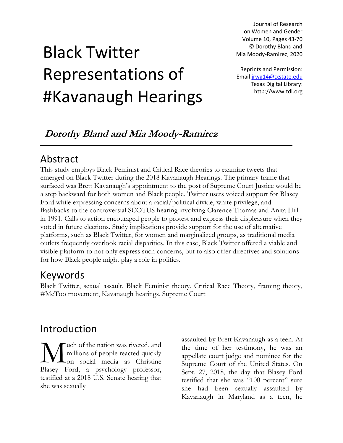Journal of Research on Women and Gender Volume 10, Pages 43-70 © Dorothy Bland and Mia Moody-Ramirez, 2020

# Black Twitter Representations of #Kavanaugh Hearings

Reprints and Permission: Email [jrwg14@txstate.edu](mailto:jrwg14@txstate.edu) Texas Digital Library: http://www.tdl.org

### **Dorothy Bland and Mia Moody-Ramirez**

# Abstract

This study employs Black Feminist and Critical Race theories to examine tweets that emerged on Black Twitter during the 2018 Kavanaugh Hearings. The primary frame that surfaced was Brett Kavanaugh's appointment to the post of Supreme Court Justice would be a step backward for both women and Black people. Twitter users voiced support for Blasey Ford while expressing concerns about a racial/political divide, white privilege, and flashbacks to the controversial SCOTUS hearing involving Clarence Thomas and Anita Hill in 1991. Calls to action encouraged people to protest and express their displeasure when they voted in future elections. Study implications provide support for the use of alternative platforms, such as Black Twitter, for women and marginalized groups, as traditional media outlets frequently overlook racial disparities. In this case, Black Twitter offered a viable and visible platform to not only express such concerns, but to also offer directives and solutions for how Black people might play a role in politics.

# Keywords

Black Twitter, sexual assault, Black Feminist theory, Critical Race Theory, framing theory, #MeToo movement, Kavanaugh hearings, Supreme Court

# Introduction

uch of the nation was riveted, and millions of people reacted quickly on social media as Christine Wuch of the nation was riveted, and<br>
millions of people reacted quickly<br>
Blasey Ford, a psychology professor, testified at a 2018 U.S. Senate hearing that she was sexually

assaulted by Brett Kavanaugh as a teen. At the time of her testimony, he was an appellate court judge and nominee for the Supreme Court of the United States. On Sept. 27, 2018, the day that Blasey Ford testified that she was "100 percent" sure she had been sexually assaulted by Kavanaugh in Maryland as a teen, he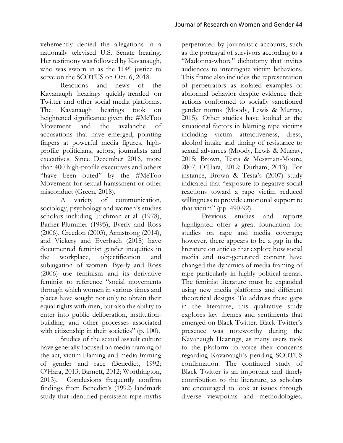vehemently denied the allegations in a nationally televised U.S. Senate hearing. Her testimony was followed by Kavanaugh, who was sworn in as the 114<sup>th</sup> justice to serve on the SCOTUS on Oct. 6, 2018.

Reactions and news of the Kavanaugh hearings quickly trended on Twitter and other social media platforms. The Kavanaugh hearings took on heightened significance given the #MeToo Movement and the avalanche of accusations that have emerged, pointing fingers at powerful media figures, highprofile politicians, actors, journalists and executives. Since December 2016, more than 400 high-profile executives and others "have been outed" by the #MeToo Movement for sexual harassment or other misconduct (Green, 2018).

A variety of communication, sociology, psychology and women's studies scholars including Tuchman et al. (1978), Barker-Plummer (1995), Byerly and Ross (2006), Creedon (2003), Armstrong (2014), and Vickery and Everbach (2018) have documented feminist gender inequities in the workplace, objectification and subjugation of women. Byerly and Ross (2006) use feminism and its derivative feminist to reference "social movements through which women in various times and places have sought not only to obtain their equal rights with men, but also the ability to enter into public deliberation, institutionbuilding, and other processes associated with citizenship in their societies" (p. 100).

Studies of the sexual assault culture have generally focused on media framing of the act, victim blaming and media framing of gender and race (Benedict, 1992; O'Hara, 2013; Barnett, 2012; Worthington, 2013). Conclusions frequently confirm findings from Benedict's (1992) landmark study that identified persistent rape myths

perpetuated by journalistic accounts, such as the portrayal of survivors according to a "Madonna-whore" dichotomy that invites audiences to interrogate victim behaviors. This frame also includes the representation of perpetrators as isolated examples of abnormal behavior despite evidence their actions conformed to socially sanctioned gender norms (Moody, Lewis & Murray, 2015). Other studies have looked at the situational factors in blaming rape victims including victim attractiveness, dress, alcohol intake and timing of resistance to sexual advances (Moody, Lewis & Murray, 2015; Brown, Testa & Messman-Moore, 2007, O'Hara, 2012; Durham, 2013). For instance, Brown & Testa's (2007) study indicated that "exposure to negative social reactions toward a rape victim reduced willingness to provide emotional support to that victim" (pp. 490-92).

Previous studies and reports highlighted offer a great foundation for studies on rape and media coverage; however, there appears to be a gap in the literature on articles that explore how social media and user-generated content have changed the dynamics of media framing of rape particularly in highly political arenas. The feminist literature must be expanded using new media platforms and different theoretical designs. To address these gaps in the literature, this qualitative study explores key themes and sentiments that emerged on Black Twitter. Black Twitter's presence was noteworthy during the Kavanaugh Hearings, as many users took to the platform to voice their concerns regarding Kavanaugh's pending SCOTUS confirmation. The continued study of Black Twitter is an important and timely contribution to the literature, as scholars are encouraged to look at issues through diverse viewpoints and methodologies.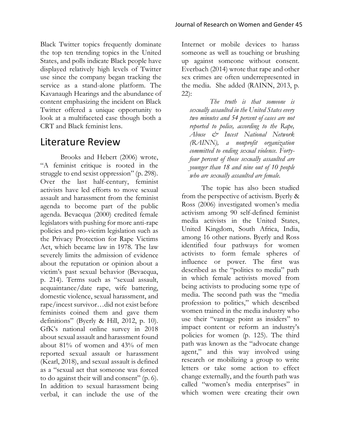Black Twitter topics frequently dominate the top ten trending topics in the United States, and polls indicate Black people have displayed relatively high levels of Twitter use since the company began tracking the service as a stand-alone platform. The Kavanaugh Hearings and the abundance of content emphasizing the incident on Black Twitter offered a unique opportunity to look at a multifaceted case though both a CRT and Black feminist lens.

### Literature Review

Brooks and Hebert (2006) wrote, "A feminist critique is rooted in the struggle to end sexist oppression" (p. 298). Over the last half-century, feminist activists have led efforts to move sexual assault and harassment from the feminist agenda to become part of the public agenda. Bevacqua (2000) credited female legislators with pushing for more anti-rape policies and pro-victim legislation such as the Privacy Protection for Rape Victims Act, which became law in 1978. The law severely limits the admission of evidence about the reputation or opinion about a victim's past sexual behavior (Bevacqua, p. 214). Terms such as "sexual assault, acquaintance/date rape, wife battering, domestic violence, sexual harassment, and rape/incest survivor…did not exist before feminists coined them and gave them definitions" (Byerly & Hill, 2012, p. 10). GfK's national online survey in 2018 about sexual assault and harassment found about 81% of women and 43% of men reported sexual assault or harassment (Kearl, 2018), and sexual assault is defined as a "sexual act that someone was forced to do against their will and consent" (p. 6). In addition to sexual harassment being verbal, it can include the use of the

Internet or mobile devices to harass someone as well as touching or brushing up against someone without consent. Everbach (2014) wrote that rape and other sex crimes are often underrepresented in the media. She added (RAINN, 2013, p. 22):

*The truth is that someone is sexually assaulted in the United States every two minutes and 54 percent of cases are not reported to police, according to the Rape, Abuse & Incest National Network (RAINN), a nonprofit organization committed to ending sexual violence. Fortyfour percent of those sexually assaulted are younger than 18 and nine out of 10 people who are sexually assaulted are female.*

The topic has also been studied from the perspective of activism. Byerly & Ross (2006) investigated women's media activism among 90 self-defined feminist media activists in the United States, United Kingdom, South Africa, India, among 16 other nations. Byerly and Ross identified four pathways for women activists to form female spheres of influence or power. The first was described as the "politics to media" path in which female activists moved from being activists to producing some type of media. The second path was the "media profession to politics," which described women trained in the media industry who use their "vantage point as insiders" to impact content or reform an industry's policies for women (p. 125). The third path was known as the "advocate change agent," and this way involved using research or mobilizing a group to write letters or take some action to effect change externally, and the fourth path was called "women's media enterprises" in which women were creating their own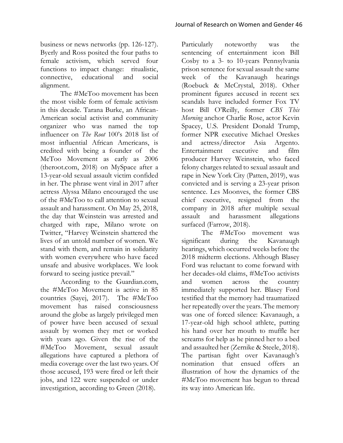business or news networks (pp. 126-127). Byerly and Ross posited the four paths to female activism, which served four functions to impact change: ritualistic, connective, educational and social alignment.

The #MeToo movement has been the most visible form of female activism in this decade. Tarana Burke, an African-American social activist and community organizer who was named the top influencer on *The Root* 100's 2018 list of most influential African Americans, is credited with being a founder of the MeToo Movement as early as 2006 (theroot.com, 2018) on MySpace after a 13-year-old sexual assault victim confided in her. The phrase went viral in 2017 after actress Alyssa Milano encouraged the use of the #MeToo to call attention to sexual assault and harassment. On May 25, 2018, the day that Weinstein was arrested and charged with rape, Milano wrote on Twitter, "Harvey Weinstein shattered the lives of an untold number of women. We stand with them, and remain in solidarity with women everywhere who have faced unsafe and abusive workplaces. We look forward to seeing justice prevail."

According to the Guardian.com, the #MeToo Movement is active in 85 countries (Sayej, 2017). The #MeToo movement has raised consciousness around the globe as largely privileged men of power have been accused of sexual assault by women they met or worked with years ago. Given the rise of the #MeToo Movement, sexual assault allegations have captured a plethora of media coverage over the last two years. Of those accused, 193 were fired or left their jobs, and 122 were suspended or under investigation, according to Green (2018).

Particularly noteworthy was the sentencing of entertainment icon Bill Cosby to a 3- to 10-years Pennsylvania prison sentence for sexual assault the same week of the Kavanaugh hearings (Roebuck & McCrystal, 2018). Other prominent figures accused in recent sex scandals have included former Fox TV host Bill O'Reilly, former *CBS This Morning* anchor Charlie Rose, actor Kevin Spacey, U.S. President Donald Trump, former NPR executive Michael Oreskes and actress/director Asia Argento. Entertainment executive and film producer Harvey Weinstein, who faced felony charges related to sexual assault and rape in New York City (Patten, 2019), was convicted and is serving a 23-year prison sentence. Les Moonves, the former CBS chief executive, resigned from the company in 2018 after multiple sexual assault and harassment allegations surfaced (Farrow, 2018).

The #MeToo movement was significant during the Kavanaugh hearings, which occurred weeks before the 2018 midterm elections. Although Blasey Ford was reluctant to come forward with her decades-old claims, #MeToo activists and women across the country immediately supported her. Blasey Ford testified that the memory had traumatized her repeatedly over the years. The memory was one of forced silence: Kavanaugh, a 17-year-old high school athlete, putting his hand over her mouth to muffle her screams for help as he pinned her to a bed and assaulted her (Zernike & Steele, 2018). The partisan fight over Kavanaugh's nomination that ensued offers an illustration of how the dynamics of the #MeToo movement has begun to thread its way into American life.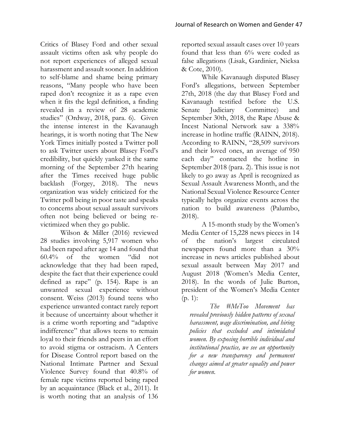Critics of Blasey Ford and other sexual assault victims often ask why people do not report experiences of alleged sexual harassment and assault sooner. In addition to self-blame and shame being primary reasons, "Many people who have been raped don't recognize it as a rape even when it fits the legal definition, a finding revealed in a review of 28 academic studies" (Ordway, 2018, para. 6). Given the intense interest in the Kavanaugh hearings, it is worth noting that The New York Times initially posted a Twitter poll to ask Twitter users about Blasey Ford's credibility, but quickly yanked it the same morning of the September 27th hearing after the Times received huge public backlash (Forgey, 2018). The news organization was widely criticized for the Twitter poll being in poor taste and speaks to concerns about sexual assault survivors often not being believed or being revictimized when they go public.

Wilson & Miller (2016) reviewed 28 studies involving 5,917 women who had been raped after age 14 and found that 60.4% of the women "did not acknowledge that they had been raped, despite the fact that their experience could defined as rape" (p. 154). Rape is an unwanted sexual experience without consent. Weiss (2013) found teens who experience unwanted contact rarely report it because of uncertainty about whether it is a crime worth reporting and "adaptive indifference" that allows teens to remain loyal to their friends and peers in an effort to avoid stigma or ostracism. A Centers for Disease Control report based on the National Intimate Partner and Sexual Violence Survey found that 40.8% of female rape victims reported being raped by an acquaintance (Black et al., 2011). It is worth noting that an analysis of 136

reported sexual assault cases over 10 years found that less than 6% were coded as false allegations (Lisak, Gardinier, Nicksa & Cote, 2010).

While Kavanaugh disputed Blasey Ford's allegations, between September 27th, 2018 (the day that Blasey Ford and Kavanaugh testified before the U.S. Senate Judiciary Committee) and September 30th, 2018, the Rape Abuse & Incest National Network saw a 338% increase in hotline traffic (RAINN, 2018). According to RAINN, "28,509 survivors and their loved ones, an average of 950 each day" contacted the hotline in September 2018 (para. 2). This issue is not likely to go away as April is recognized as Sexual Assault Awareness Month, and the National Sexual Violence Resource Center typically helps organize events across the nation to build awareness (Palumbo, 2018).

A 15-month study by the Women's Media Center of 15,228 news pieces in 14 of the nation's largest circulated newspapers found more than a 30% increase in news articles published about sexual assault between May 2017 and August 2018 (Women's Media Center, 2018). In the words of Julie Burton, president of the Women's Media Center (p. 1):

*The #MeToo Movement has revealed previously hidden patterns of sexual harassment, wage discrimination, and hiring policies that excluded and intimidated women. By exposing horrible individual and institutional practice, we see an opportunity for a new transparency and permanent changes aimed at greater equality and power for women.*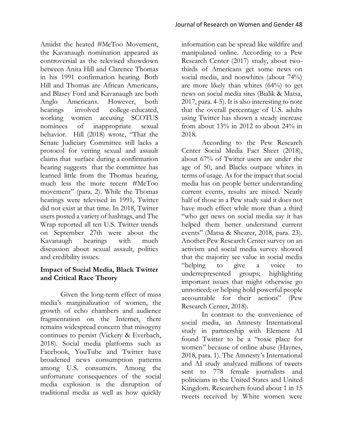Amidst the heated #MeToo Movement, the Kavanaugh nomination appeared as controversial as the televised showdown between Anita Hill and Clarence Thomas in his 1991 confirmation hearing. Both Hill and Thomas are African Americans, and Blasey Ford and Kavanaugh are both Anglo Americans. However, both hearings involved college-educated, working women accusing SCOTUS nominees of inappropriate sexual behavior. Hill (2018) wrote, "That the Senate Judiciary Committee still lacks a protocol for vetting sexual and assault claims that surface during a confirmation hearing suggests that the committee has learned little from the Thomas hearing, much less the more recent #MeToo movement" (para. 2). While the Thomas hearings were televised in 1991, Twitter did not exist at that time. In 2018, Twitter users posted a variety of hashtags, and The Wrap reported all ten U.S. Twitter trends on September 27th were about the Kavanaugh hearings with much discussion about sexual assault, politics and credibility issues.

#### **Impact of Social Media, Black Twitter and Critical Race Theory**

Given the long-term effect of mass media's marginalization of women, the growth of echo chambers and audience fragmentation on the Internet, there remains widespread concern that misogyny continues to persist (Vickery & Everbach, 2018). Social media platforms such as Facebook, YouTube and Twitter have broadened news consumption patterns among U.S. consumers. Among the unfortunate consequences of the social media explosion is the disruption of traditional media as well as how quickly

information can be spread like wildfire and manipulated online. According to a Pew Research Center (2017) study, about twothirds of Americans get some news on social media, and nonwhites (about 74%) are more likely than whites (64%) to get news on social media sites (Bialik & Matsa, 2017, para. 4-5). It is also interesting to note that the overall percentage of U.S. adults using Twitter has shown a steady increase from about 13% in 2012 to about 24% in 2018.

According to the Pew Research Center Social Media Fact Sheet (2018), about 67% of Twitter users are under the age of 50, and Blacks outpace whites in terms of usage. As for the impact that social media has on people better understanding current events, results are mixed. Nearly half of those in a Pew study said it does not have much effect while more than a third "who get news on social media say it has helped them better understand current events" (Matsa & Shearer, 2018, para. 23). Another Pew Research Center survey on an activism and social media survey showed that the majority see value in social media "helping to give a voice to underrepresented groups; highlighting important issues that might otherwise go unnoticed; or helping hold powerful people accountable for their actions" (Pew Research Center, 2018).

In contrast to the convenience of social media, an Amnesty International study in partnership with Element AI found Twitter to be a "toxic place for women" because of online abuse (Haynes, 2018, para. 1). The Amnesty's International and AI study analyzed millions of tweets sent to 778 female journalists and politicians in the United States and United Kingdom. Researchers found about 1 in 15 tweets received by White women were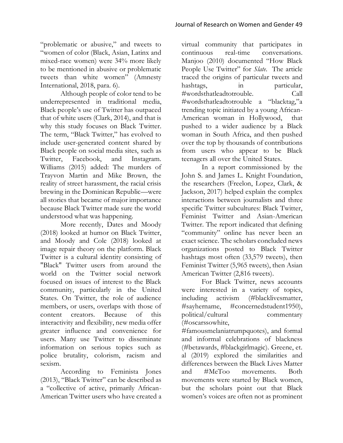"problematic or abusive," and tweets to "women of color (Black, Asian, Latinx and mixed-race women) were 34% more likely to be mentioned in abusive or problematic tweets than white women" (Amnesty International, 2018, para. 6).

Although people of color tend to be underrepresented in traditional media, Black people's use of Twitter has outpaced that of white users (Clark, 2014), and that is why this study focuses on Black Twitter. The term, "Black Twitter," has evolved to include user-generated content shared by Black people on social media sites, such as Twitter, Facebook, and Instagram. Williams (2015) added: The murders of Trayvon Martin and Mike Brown, the reality of street harassment, the racial crisis brewing in the Dominican Republic—were all stories that became of major importance because Black Twitter made sure the world understood what was happening.

More recently, Dates and Moody (2018) looked at humor on Black Twitter, and Moody and Cole (2018) looked at image repair theory on the platform. Black Twitter is a cultural identity consisting of "Black" Twitter users from around the world on the Twitter social network focused on issues of interest to the Black community, particularly in the United States. On Twitter, the role of audience members, or users, overlaps with those of content creators. Because of this interactivity and flexibility, new media offer greater influence and convenience for users. Many use Twitter to disseminate information on serious topics such as police brutality, colorism, racism and sexism.

According to Feminista Jones (2013), "Black Twitter" can be described as a "collective of active, primarily African-American Twitter users who have created a virtual community that participates in continuous real-time conversations. Manjoo (2010) documented "How Black People Use Twitter" for *Slate*. The article traced the origins of particular tweets and hashtags, in particular, #wordsthatleadtotrouble. Call #wordsthatleadtotrouble a "blacktag,"a trending topic initiated by a young African-American woman in Hollywood, that pushed to a wider audience by a Black woman in South Africa, and then pushed over the top by thousands of contributions from users who appear to be Black teenagers all over the United States.

In a report commissioned by the John S. and James L. Knight Foundation, the researchers (Freelon, Lopez, Clark, & Jackson, 2017) helped explain the complex interactions between journalists and three specific Twitter subcultures: Black Twitter, Feminist Twitter and Asian-American Twitter. The report indicated that defining "community" online has never been an exact science. The scholars concluded news organizations posted to Black Twitter hashtags most often (33,579 tweets), then Feminist Twitter (5,965 tweets), then Asian American Twitter (2,816 tweets).

For Black Twitter, news accounts were interested in a variety of topics, including activism (#blacklivesmatter, #sayhername, #concernedstudent1950), political/cultural commentary (#oscarssowhite,

#famousmelaniatrumpquotes), and formal and informal celebrations of blackness (#betawards, #blackgirlmagic). Greene, et. al (2019) explored the similarities and differences between the Black Lives Matter and #MeToo movements. Both movements were started by Black women, but the scholars point out that Black women's voices are often not as prominent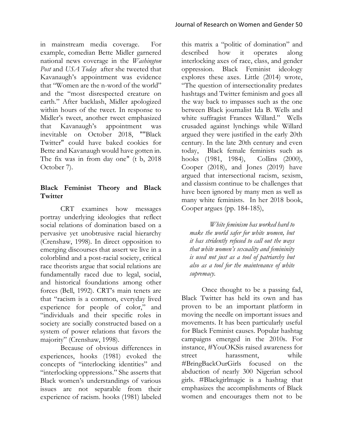in mainstream media coverage. For example, comedian Bette Midler garnered national news coverage in the *Washington Post* and *USA Today* after she tweeted that Kavanaugh's appointment was evidence that "Women are the n-word of the world" and the "most disrespected creature on earth." After backlash, Midler apologized within hours of the tweet. In response to Midler's tweet, another tweet emphasized that Kavanaugh's appointment was inevitable on October 2018, ""Black Twitter" could have baked cookies for Bette and Kavanaugh would have gotten in. The fix was in from day one" (t b, 2018 October 7).

#### **Black Feminist Theory and Black Twitter**

CRT examines how messages portray underlying ideologies that reflect social relations of domination based on a pervasive yet unobtrusive racial hierarchy (Crenshaw, 1998). In direct opposition to emerging discourses that assert we live in a colorblind and a post-racial society, critical race theorists argue that social relations are fundamentally raced due to legal, social, and historical foundations among other forces (Bell, 1992). CRT's main tenets are that "racism is a common, everyday lived experience for people of color," and "individuals and their specific roles in society are socially constructed based on a system of power relations that favors the majority" (Crenshaw, 1998).

Because of obvious differences in experiences, hooks (1981) evoked the concepts of "interlocking identities" and "interlocking oppressions." She asserts that Black women's understandings of various issues are not separable from their experience of racism. hooks (1981) labeled

this matrix a "politic of domination" and described how it operates along interlocking axes of race, class, and gender oppression. Black Feminist ideology explores these axes. Little (2014) wrote, "The question of intersectionality predates hashtags and Twitter feminism and goes all the way back to impasses such as the one between Black journalist Ida B. Wells and white suffragist Frances Willard." Wells crusaded against lynchings while Willard argued they were justified in the early 20th century. In the late 20th century and even today, Black female feminists such as hooks (1981, 1984), Collins (2000), Cooper (2018), and Jones (2019) have argued that intersectional racism, sexism, and classism continue to be challenges that have been ignored by many men as well as many white feminists. In her 2018 book, Cooper argues (pp. 184-185),

*White feminism has worked hard to make the world safer for white women, but it has stridently refused to call out the ways that white women's sexuality and femininity is used not just as a tool of patriarchy but also as a tool for the maintenance of white supremacy.*

Once thought to be a passing fad, Black Twitter has held its own and has proven to be an important platform in moving the needle on important issues and movements. It has been particularly useful for Black Feminist causes. Popular hashtag campaigns emerged in the 2010s. For instance, #YouOKSis raised awareness for street harassment, while #BringBackOurGirls focused on the abduction of nearly 300 Nigerian school girls. #Blackgirlmagic is a hashtag that emphasizes the accomplishments of Black women and encourages them not to be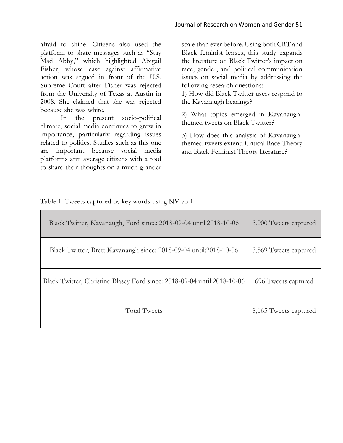afraid to shine. Citizens also used the platform to share messages such as "Stay Mad Abby," which highlighted Abigail Fisher, whose case against affirmative action was argued in front of the U.S. Supreme Court after Fisher was rejected from the University of Texas at Austin in 2008. She claimed that she was rejected because she was white.

In the present socio-political climate, social media continues to grow in importance, particularly regarding issues related to politics. Studies such as this one are important because social media platforms arm average citizens with a tool to share their thoughts on a much grander

scale than ever before. Using both CRT and Black feminist lenses, this study expands the literature on Black Twitter's impact on race, gender, and political communication issues on social media by addressing the following research questions:

1) How did Black Twitter users respond to the Kavanaugh hearings?

2) What topics emerged in Kavanaughthemed tweets on Black Twitter?

3) How does this analysis of Kavanaughthemed tweets extend Critical Race Theory and Black Feminist Theory literature?

| Table 1. Tweets captured by key words using NVivo 1 |  |  |  |
|-----------------------------------------------------|--|--|--|
|-----------------------------------------------------|--|--|--|

| Black Twitter, Kavanaugh, Ford since: 2018-09-04 until:2018-10-06       | 3,900 Tweets captured |
|-------------------------------------------------------------------------|-----------------------|
| Black Twitter, Brett Kavanaugh since: 2018-09-04 until:2018-10-06       | 3,569 Tweets captured |
| Black Twitter, Christine Blasey Ford since: 2018-09-04 until:2018-10-06 | 696 Tweets captured   |
| <b>Total Tweets</b>                                                     | 8,165 Tweets captured |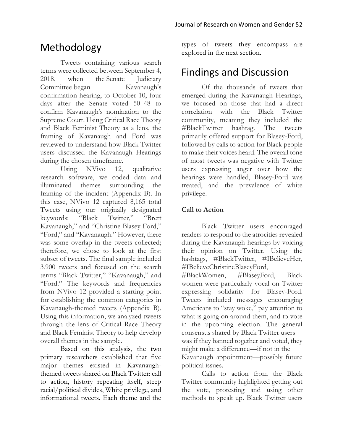# Methodology

Tweets containing various search terms were collected between September 4, 2018, when the Senate Judiciary Committee began Kavanaugh's confirmation hearing, to October 10, four days after the Senate voted 50–48 to confirm Kavanaugh's nomination to the Supreme Court. Using Critical Race Theory and Black Feminist Theory as a lens, the framing of Kavanaugh and Ford was reviewed to understand how Black Twitter users discussed the Kavanaugh Hearings during the chosen timeframe.

Using NVivo 12, qualitative research software, we coded data and illuminated themes surrounding the framing of the incident (Appendix B). In this case, NVivo 12 captured 8,165 total Tweets using our originally designated keywords: "Black Twitter," "Brett Kavanaugh," and "Christine Blasey Ford," "Ford," and "Kavanaugh." However, there was some overlap in the tweets collected; therefore, we chose to look at the first subset of tweets. The final sample included 3,900 tweets and focused on the search terms "Black Twitter," "Kavanaugh," and "Ford." The keywords and frequencies from NVivo 12 provided a starting point for establishing the common categories in Kavanaugh-themed tweets (Appendix B). Using this information, we analyzed tweets through the lens of Critical Race Theory and Black Feminist Theory to help develop overall themes in the sample.

Based on this analysis, the two primary researchers established that five major themes existed in Kavanaughthemed tweets shared on Black Twitter: call to action, history repeating itself, steep racial/political divides, White privilege, and informational tweets. Each theme and the

types of tweets they encompass are explored in the next section.

### Findings and Discussion

Of the thousands of tweets that emerged during the Kavanaugh Hearings, we focused on those that had a direct correlation with the Black Twitter community, meaning they included the #BlackTwitter hashtag. The tweets primarily offered support for Blasey-Ford, followed by calls to action for Black people to make their voices heard. The overall tone of most tweets was negative with Twitter users expressing anger over how the hearings were handled, Blasey-Ford was treated, and the prevalence of white privilege.

#### **Call to Action**

Black Twitter users encouraged readers to respond to the atrocities revealed during the Kavanaugh hearings by voicing their opinion on Twitter. Using the hashtags, #BlackTwitter, #IBelieveHer, #IBelieveChristineBlaseyFord, #BlackWomen, #BlaseyFord, Black women were particularly vocal on Twitter expressing solidarity for Blasey-Ford. Tweets included messages encouraging Americans to "stay woke," pay attention to what is going on around them, and to vote in the upcoming election. The general consensus shared by Black Twitter users was if they banned together and voted, they might make a difference—if not in the Kavanaugh appointment—possibly future political issues.

Calls to action from the Black Twitter community highlighted getting out the vote, protesting and using other methods to speak up. Black Twitter users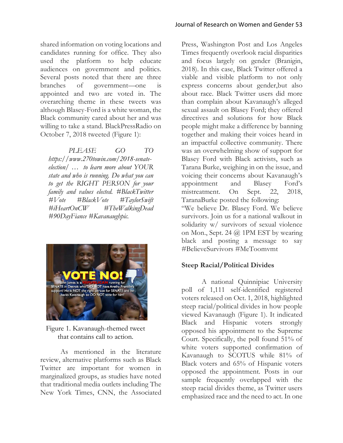shared information on voting locations and candidates running for office. They also used the platform to help educate audiences on government and politics. Several posts noted that there are three branches of government—one is appointed and two are voted in. The overarching theme in these tweets was although Blasey-Ford is a white woman, the Black community cared about her and was willing to take a stand. BlackPressRadio on October 7, 2018 tweeted (Figure 1):

*PLEASE GO TO https://www.270towin.com/2018-senateelection/ … to learn more about YOUR state and who is running. Do what you can to get the RIGHT PERSON for your family and values elected. #BlackTwitter #Vote #BlackVote #TaylorSwift #iHeartOnCW #TheWalkingDead #90DayFiance #Kavanaughpic.*



Figure 1. Kavanaugh-themed tweet that contains call to action.

As mentioned in the literature review, alternative platforms such as Black Twitter are important for women in marginalized groups, as studies have noted that traditional media outlets including The New York Times, CNN, the Associated

Press, Washington Post and Los Angeles Times frequently overlook racial disparities and focus largely on gender (Branigin, 2018). In this case, Black Twitter offered a viable and visible platform to not only express concerns about gender,but also about race. Black Twitter users did more than complain about Kavanaugh's alleged sexual assault on Blasey Ford; they offered directives and solutions for how Black people might make a difference by banning together and making their voices heard in an impactful collective community. There was an overwhelming show of support for Blasey Ford with Black activists, such as Tarana Burke, weighing in on the issue, and voicing their concerns about Kavanaugh's appointment and Blasey Ford's mistreatment. On Sept. 22, 2018, TaranaBurke posted the following:

"We believe Dr. Blasey Ford. We believe survivors. Join us for a national walkout in solidarity w/ survivors of sexual violence on Mon., Sept. 24 @ 1PM EST by wearing black and posting a message to say #BelieveSurvivors #MeToomvmt

#### **Steep Racial/Political Divides**

A national Quinnipiac University poll of 1,111 self-identified registered voters released on Oct. 1, 2018, highlighted steep racial/political divides in how people viewed Kavanaugh (Figure 1). It indicated Black and Hispanic voters strongly opposed his appointment to the Supreme Court. Specifically, the poll found 51% of white voters supported confirmation of Kavanaugh to SCOTUS while 81% of Black voters and 65% of Hispanic voters opposed the appointment. Posts in our sample frequently overlapped with the steep racial divides theme, as Twitter users emphasized race and the need to act. In one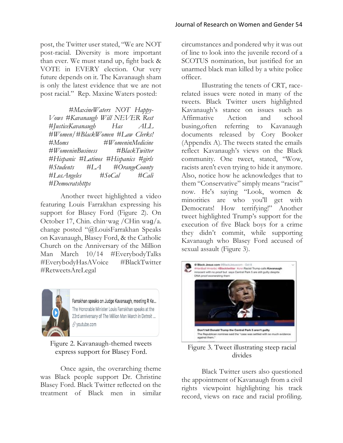post, the Twitter user stated, "We are NOT post-racial. Diversity is more important than ever. We must stand up, fight back & VOTE in EVERY election. Our very future depends on it. The Kavanaugh sham is only the latest evidence that we are not post racial." Rep. Maxine Waters posted:

*#MaxineWaters NOT Happy-Vows #Kavanaugh Will NEVER Rest #JusticeKavanaugh Has ALL #Women/#BlackWomen #Law Clerks! #Moms #WomeninMedicine #WomeninBusiness #BlackTwitter #Hispanic #Latinos #Hispanics #girls #Students #LA #OrangeCounty #LosAngeles #SoCal #Cali #Democratshttps*

Another tweet highlighted a video featuring Louis Farrakhan expressing his support for Blasey Ford (Figure 2). On October 17, Chin. chin·wag /CHin waɡ/a. change posted "@LouisFarrakhan Speaks on Kavanaugh, Blasey Ford, & the Catholic Church on the Anniversary of the Million Man March 10/14 #EverybodyTalks #EverybodyHasAVoice #BlackTwitter #RetweetsAreLegal



Farrakhan speaks on Judge Kavanaugh, meeting R Ke... The Honorable Minister Louis Farrakhan speaks at the 23rd anniversary of The Million Man March in Detroit ... √ voutube.com

Figure 2. Kavanaugh-themed tweets express support for Blasey Ford.

Once again, the overarching theme was Black people support Dr. Christine Blasey Ford. Black Twitter reflected on the treatment of Black men in similar circumstances and pondered why it was out of line to look into the juvenile record of a SCOTUS nomination, but justified for an unarmed black man killed by a white police officer.

Illustrating the tenets of CRT, racerelated issues were noted in many of the tweets. Black Twitter users highlighted Kavanaugh's stance on issues such as Affirmative Action and school busing,often referring to Kavanaugh documents released by Cory Booker (Appendix A). The tweets stated the emails reflect Kavanaugh's views on the Black community. One tweet, stated, "Wow, racists aren't even trying to hide it anymore. Also, notice how he acknowledges that to them "Conservative" simply means "racist" now. He's saying "Look, women & minorities are who you'll get with Democrats! How terrifying!" Another tweet highlighted Trump's support for the execution of five Black boys for a crime they didn't commit, while supporting Kavanaugh who Blasey Ford accused of sexual assault (Figure 3).



Figure 3. Tweet illustrating steep racial divides

Black Twitter users also questioned the appointment of Kavanaugh from a civil rights viewpoint highlighting his track record, views on race and racial profiling.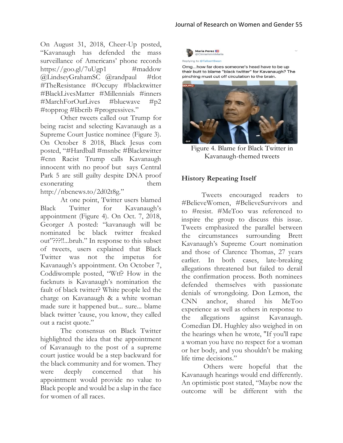On August 31, 2018, Cheer-Up posted, "Kavanaugh has defended the mass surveillance of Americans' phone records https://goo.gl/7uUgp1  $\#$ maddow @LindseyGrahamSC @randpaul #tlot #TheResistance #Occupy #blacktwitter #BlackLivesMatter #Millennials #inners #MarchForOurLives #bluewave #p2 #topprog #libcrib #progressives."

Other tweets called out Trump for being racist and selecting Kavanaugh as a Supreme Court Justice nominee (Figure 3). On October 8 2018, Black Jesus com posted, "#Hardball #msnbc #Blacktwitter #cnn Racist Trump calls Kavanaugh innocent with no proof but says Central Park 5 are still guilty despite DNA proof exonerating them http://nbcnews.to/2d02t8g."

At one point, Twitter users blamed Black Twitter for Kavanaugh's appointment (Figure 4). On Oct. 7, 2018, Georger A posted: "kavanaugh will be nominated bc black twitter freaked out"???!!...bruh." In response to this subset of tweets, users explained that Black Twitter was not the impetus for Kavanaugh's appointment. On October 7, Coddiwomple posted, "Wtf? How in the fucknuts is Kavanaugh's nomination the fault of black twitter? White people led the charge on Kavanaugh & a white woman made sure it happened but... sure... blame black twitter 'cause, you know, they called out a racist quote."

The consensus on Black Twitter highlighted the idea that the appointment of Kavanaugh to the post of a supreme court justice would be a step backward for the black community and for women. They were deeply concerned that his appointment would provide no value to Black people and would be a slap in the face for women of all races.



Omg...how far does someone's head have to be up their butt to blame "black twitter" for Kavanaugh? The pinching must cut off circulation to the brain.



Figure 4. Blame for Black Twitter in Kavanaugh-themed tweets

#### **History Repeating Itself**

Tweets encouraged readers to #BelieveWomen, #BelieveSurvivors and to #resist. #MeToo was referenced to inspire the group to discuss this issue. Tweets emphasized the parallel between the circumstances surrounding Brett Kavanaugh's Supreme Court nomination and those of Clarence Thomas, 27 years earlier. In both cases, late-breaking allegations threatened but failed to derail the confirmation process. Both nominees defended themselves with passionate denials of wrongdoing. Don Lemon, the CNN anchor, shared his MeToo experience as well as others in response to the allegations against Kavanaugh. Comedian DL Hughley also weighed in on the hearings when he wrote, "If you'll rape a woman you have no respect for a woman or her body, and you shouldn't be making life time decisions."

Others were hopeful that the Kavanaugh hearings would end differently. An optimistic post stated, "Maybe now the outcome will be different with the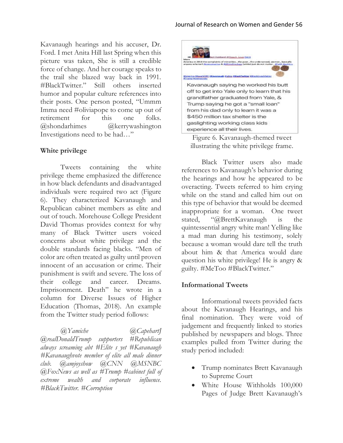Kavanaugh hearings and his accuser, Dr. Ford. I met Anita Hill last Spring when this picture was taken, She is still a credible force of change. And her courage speaks to the trail she blazed way back in 1991. #BlackTwitter." Still others inserted humor and popular culture references into their posts. One person posted, "Ummm Imma need #oliviapope to come up out of retirement for this one folks. @shondarhimes @kerrywashington Investigations need to be had…"

#### **White privilege**

Tweets containing the white privilege theme emphasized the difference in how black defendants and disadvantaged individuals were required two act (Figure 6). They characterized Kavanaugh and Republican cabinet members as elite and out of touch. Morehouse College President David Thomas provides context for why many of Black Twitter users voiced concerns about white privilege and the double standards facing blacks. "Men of color are often treated as guilty until proven innocent of an accusation or crime. Their punishment is swift and severe. The loss of their college and career. Dreams. Imprisonment. Death" he wrote in a column for Diverse Issues of Higher Education (Thomas, 2018). An example from the Twitter study period follows:

*@Yamiche @CapehartJ @realDonaldTrump supporters #Republican always screaming abt #Elite s yet #Kavanaugh #Kavanaughvote member of elite all male dinner club. @amjoyshow @CNN @MSNBC @FoxNews as well as #Trump #cabinet full of extreme wealth and corporate influence. #BlackTwitter. #Corruption*



Figure 6. Kavanaugh-themed tweet illustrating the white privilege frame.

Black Twitter users also made references to Kavanaugh's behavior during the hearings and how he appeared to be overacting. Tweets referred to him crying while on the stand and called him out on this type of behavior that would be deemed inappropriate for a woman. One tweet stated, "@BrettKavanaugh is the quintessential angry white man! Yelling like a mad man during his testimony, solely because a woman would dare tell the truth about him & that America would dare question his white privilege! He is angry & guilty. #MeToo #BlackTwitter."

#### **Informational Tweets**

Informational tweets provided facts about the Kavanaugh Hearings, and his final nomination. They were void of judgement and frequently linked to stories published by newspapers and blogs. Three examples pulled from Twitter during the study period included:

- Trump nominates Brett Kavanaugh to Supreme Court
- White House Withholds 100,000 Pages of Judge Brett Kavanaugh's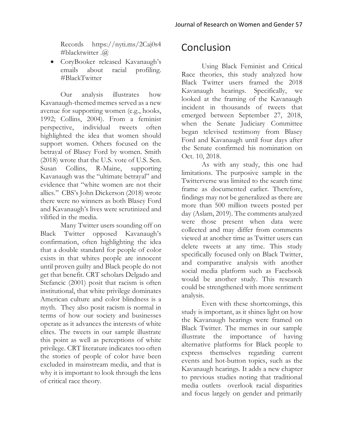Records https://nyti.ms/2Caj0s4 #blacktwitter .@

• CoryBooker released Kavanaugh's emails about racial profiling. #BlackTwitter

Our analysis illustrates how Kavanaugh-themed memes served as a new avenue for supporting women (e.g., hooks, 1992; Collins, 2004). From a feminist perspective, individual tweets often highlighted the idea that women should support women. Others focused on the betrayal of Blasey Ford by women. Smith (2018) wrote that the U.S. vote of U.S. Sen. Susan Collins, R-Maine, supporting Kavanaugh was the "ultimate betrayal" and evidence that "white women are not their allies." CBS's John Dickerson (2018) wrote there were no winners as both Blasey Ford and Kavanaugh's lives were scrutinized and vilified in the media.

Many Twitter users sounding off on Black Twitter opposed Kavanaugh's confirmation, often highlighting the idea that a double standard for people of color exists in that whites people are innocent until proven guilty and Black people do not get that benefit. CRT scholars Delgado and Stefancic (2001) posit that racism is often institutional, that white privilege dominates American culture and color blindness is a myth. They also posit racism is normal in terms of how our society and businesses operate as it advances the interests of white elites. The tweets in our sample illustrate this point as well as perceptions of white privilege. CRT literature indicates too often the stories of people of color have been excluded in mainstream media, and that is why it is important to look through the lens of critical race theory.

# Conclusion

Using Black Feminist and Critical Race theories, this study analyzed how Black Twitter users framed the 2018 Kavanaugh hearings. Specifically, we looked at the framing of the Kavanaugh incident in thousands of tweets that emerged between September 27, 2018, when the Senate Judiciary Committee began televised testimony from Blasey Ford and Kavanaugh until four days after the Senate confirmed his nomination on Oct. 10, 2018.

As with any study, this one had limitations. The purposive sample in the Twitterverse was limited to the search time frame as documented earlier. Therefore, findings may not be generalized as there are more than 500 million tweets posted per day (Aslam, 2019). The comments analyzed were those present when data were collected and may differ from comments viewed at another time as Twitter users can delete tweets at any time. This study specifically focused only on Black Twitter, and comparative analysis with another social media platform such as Facebook would be another study. This research could be strengthened with more sentiment analysis.

Even with these shortcomings, this study is important, as it shines light on how the Kavanaugh hearings were framed on Black Twitter. The memes in our sample illustrate the importance of having alternative platforms for Black people to express themselves regarding current events and hot-button topics, such as the Kavanaugh hearings. It adds a new chapter to previous studies noting that traditional media outlets overlook racial disparities and focus largely on gender and primarily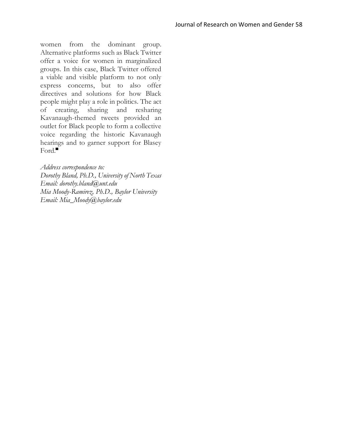women from the dominant group. Alternative platforms such as Black Twitter offer a voice for women in marginalized groups. In this case, Black Twitter offered a viable and visible platform to not only express concerns, but to also offer directives and solutions for how Black people might play a role in politics. The act of creating, sharing and resharing Kavanaugh-themed tweets provided an outlet for Black people to form a collective voice regarding the historic Kavanaugh hearings and to garner support for Blasey Ford.

*Address correspondence to: Dorothy Bland, Ph.D., University of North Texas Email: dorothy.bland@unt.edu Mia Moody-Ramirez, Ph.D., Baylor University Email: Mia\_Moody@baylor.edu*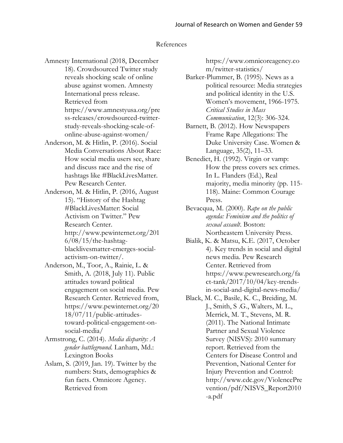#### References

Amnesty International (2018, December 18). Crowdsourced Twitter study reveals shocking scale of online abuse against women. Amnesty International press release. Retrieved from https://www.amnestyusa.org/pre ss-releases/crowdsourced-twitterstudy-reveals-shocking-scale-ofonline-abuse-against-women/

- Anderson, M. & Hitlin, P. (2016). Social Media Conversations About Race: How social media users see, share and discuss race and the rise of hashtags like #BlackLivesMatter. Pew Research Center.
- Anderson, M. & Hitlin, P. (2016, August 15). "History of the Hashtag #BlackLivesMatter: Social Activism on Twitter." Pew Research Center. http://www.pewinternet.org/201  $6/08/15$ /the-hashtagblacklivesmatter-emerges-socialactivism-on-twitter/.
- Anderson, M., Toor, A., Rainie, L. & Smith, A. (2018, July 11). Public attitudes toward political engagement on social media. Pew Research Center. Retrieved from, [https://www.pewinternet.org/20](https://www.pewinternet.org/2018/07/11/public-attitudes-toward-political-engagement-on-social-media/) [18/07/11/public-attitudes](https://www.pewinternet.org/2018/07/11/public-attitudes-toward-political-engagement-on-social-media/)[toward-political-engagement-on](https://www.pewinternet.org/2018/07/11/public-attitudes-toward-political-engagement-on-social-media/)[social-media/](https://www.pewinternet.org/2018/07/11/public-attitudes-toward-political-engagement-on-social-media/)
- Armstrong, C. (2014). *Media disparity: A gender battleground*. Lanham, Md.: Lexington Books
- Aslam, S. (2019, Jan. 19). Twitter by the numbers: Stats, demographics & fun facts. Omnicore Agency. Retrieved from

[https://www.omnicoreagency.co](https://www.omnicoreagency.com/twitter-statistics/) [m/twitter-statistics/](https://www.omnicoreagency.com/twitter-statistics/)

- Barker-Plummer, B. (1995). News as a political resource: Media strategies and political identity in the U.S. Women's movement, 1966-1975. *Critical Studies in Mass Communication*, 12(3): 306-324.
- Barnett, B. (2012). How Newspapers Frame Rape Allegations: The Duke University Case. Women & Language, 35(2), 11–33.
- Benedict, H. (1992). Virgin or vamp: How the press covers sex crimes. In L. Flanders (Ed.), Real majority, media minority (pp. 115- 118). Maine: Common Courage Press.
- Bevacqua, M. (2000). *Rape on the public agenda: Feminism and the politics of sexual assault*. Boston: Northeastern University Press.
- Bialik, K. & Matsu, K.E. (2017, October 4). Key trends in social and digital news media. Pew Research Center. Retrieved from [https://www.pewresearch.org/fa](https://www.pewresearch.org/fact-tank/2017/10/04/key-trends-in-social-and-digital-news-media/) [ct-tank/2017/10/04/key-trends](https://www.pewresearch.org/fact-tank/2017/10/04/key-trends-in-social-and-digital-news-media/)[in-social-and-digital-news-media/](https://www.pewresearch.org/fact-tank/2017/10/04/key-trends-in-social-and-digital-news-media/)
- Black, M. C., Basile, K. C., Breiding, M. J., Smith, S .G., Walters, M. L., Merrick, M. T., Stevens, M. R. (2011). The National Intimate Partner and Sexual Violence Survey (NISVS): 2010 summary report. Retrieved from the Centers for Disease Control and Prevention, National Center for Injury Prevention and Control: [http://www.cdc.gov/ViolencePre](http://www.cdc.gov/ViolencePrevention/pdf/NISVS_Report2010-a.pdf) [vention/pdf/NISVS\\_Report2010](http://www.cdc.gov/ViolencePrevention/pdf/NISVS_Report2010-a.pdf) [-a.pdf](http://www.cdc.gov/ViolencePrevention/pdf/NISVS_Report2010-a.pdf)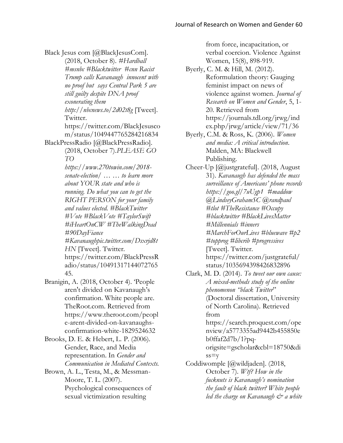Black Jesus com [@BlackJesusCom].

(2018, October 8). *#Hardball #msnbc #Blacktwitter #cnn Racist Trump calls Kavanaugh innocent with no proof but says Central Park 5 are still guilty despite DNA proof exonerating them http://nbcnews.to/2d02t8g* [Tweet]. Twitter.

https://twitter.com/BlackJesusco m/status/1049447765284216834

BlackPressRadio [@BlackPressRadio].

(2018, October 7).*PLEASE GO TO* 

*https://www.270towin.com/2018 senate-election/ … … to learn more about YOUR state and who is running. Do what you can to get the RIGHT PERSON for your family and values elected. #BlackTwitter #Vote #BlackVote #TaylorSwift #iHeartOnCW #TheWalkingDead #90DayFiance #Kavanaughpic.twitter.com/Dsxrjd8t HN* [Tweet]. Twitter.

https://twitter.com/BlackPressR adio/status/10491317144072765 45.

Branigin, A. (2018, October 4). 'People aren't divided on Kavanaugh's confirmation. White people are. TheRoot.com. Retrieved from [https://www.theroot.com/peopl](https://www.theroot.com/people-arent-divided-on-kavanaughs-confirmation-white-1829524632) [e-arent-divided-on-kavanaughs](https://www.theroot.com/people-arent-divided-on-kavanaughs-confirmation-white-1829524632)[confirmation-white-1829524632](https://www.theroot.com/people-arent-divided-on-kavanaughs-confirmation-white-1829524632)

Brooks, D. E. & Hebert, L. P. (2006). Gender, Race, and Media representation. In *Gender and Communication in Mediated Contexts.*

Brown, A. L., Testa, M., & Messman-Moore, T. L. (2007). Psychological consequences of sexual victimization resulting

from force, incapacitation, or verbal coercion. Violence Against Women, 15(8), 898-919.

Byerly, C. M. & Hill, M. (2012). Reformulation theory: Gauging feminist impact on news of violence against women. *Journal of Research on Women and Gender*, 5, 1- 20. Retrieved from [https://journals.tdl.org/jrwg/ind](https://journals.tdl.org/jrwg/index.php/jrwg/article/view/71/36) [ex.php/jrwg/article/view/71/36](https://journals.tdl.org/jrwg/index.php/jrwg/article/view/71/36)

Byerly, C.M. & Ross, K. (2006). *Women and media: A critical introduction*. Malden, MA: Blackwell Publishing.

Cheer-Up [@justgrateful]. (2018, August 31). *Kavanaugh has defended the mass surveillance of Americans' phone records https://goo.gl/7uUgp1 #maddow @LindseyGrahamSC @randpaul #tlot #TheResistance #Occupy #blacktwitter #BlackLivesMatter #Millennials #inners #MarchForOurLives #bluewave #p2 #topprog #libcrib #progressives* [Tweet]. Twitter. https://twitter.com/justgrateful/ status/1035694398426832896

Clark, M. D. (2014). *To tweet our own cause: A mixed-methods study of the online phenomenon "black Twitter*" (Doctoral dissertation, University of North Carolina). Retrieved from [https://search.proquest.com/ope](https://search.proquest.com/openview/a5773355ad9442b455850eb0ffaf2d7b/1?pq-origsite=gscholar&cbl=18750&diss=y) [nview/a5773355ad9442b455850e](https://search.proquest.com/openview/a5773355ad9442b455850eb0ffaf2d7b/1?pq-origsite=gscholar&cbl=18750&diss=y) [b0ffaf2d7b/1?pq](https://search.proquest.com/openview/a5773355ad9442b455850eb0ffaf2d7b/1?pq-origsite=gscholar&cbl=18750&diss=y)[origsite=gscholar&cbl=18750&di](https://search.proquest.com/openview/a5773355ad9442b455850eb0ffaf2d7b/1?pq-origsite=gscholar&cbl=18750&diss=y)

 $ss=v$ 

Coddiwomple [@wildjaden]. (2018, October 7). *Wtf? How in the fucknuts is Kavanaugh's nomination the fault of black twitter? White people led the charge on Kavanaugh & a white*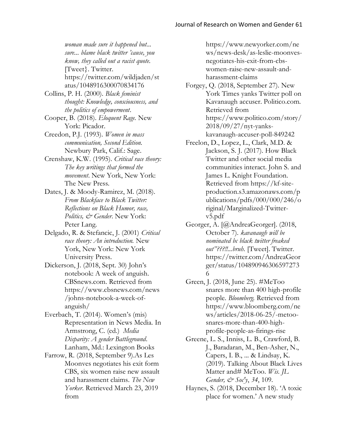*woman made sure it happened but... sure... blame black twitter 'cause, you know, they called out a racist quote.* [Tweet}. Twitter. https://twitter.com/wildjaden/st atus/1048916300070834176

- Collins, P. H. (2000). *Black feminist thought: Knowledge, consciousness, and the politics of empowerment*.
- Cooper, B. (2018). *Eloquent Rage.* New York: Picador.
- Creedon, P.J. (1993). *Women in mass communication, Second Edition.* Newbury Park, Calif.: Sage.
- Crenshaw, K.W. (1995). *Critical race theory: The key writings that formed the movement*. New York, New York: The New Press.
- Dates, J. & Moody-Ramirez, M. (2018). *From Blackface to Black Twitter: Reflections on Black Humor, race, Politics, & Gender*. New York: Peter Lang.
- Delgado, R. & Stefancic, J. (2001) *Critical race theory: An introduction.* New York, New York: New York University Press.
- Dickerson, J. (2018, Sept. 30) John's notebook: A week of anguish. CBSnews.com. Retrieved from [https://www.cbsnews.com/news](https://www.cbsnews.com/news/johns-notebook-a-week-of-anguish/) [/johns-notebook-a-week-of](https://www.cbsnews.com/news/johns-notebook-a-week-of-anguish/)[anguish/](https://www.cbsnews.com/news/johns-notebook-a-week-of-anguish/)
- Everbach, T. (2014). Women's (mis) Representation in News Media. In Armstrong, C. (ed.) *Media Disparity: A gender Battleground*. Lanham, Md.: Lexington Books
- Farrow, R. (2018, September 9).As Les Moonves negotiates his exit form CBS, six women raise new assault and harassment claims. *The New Yorker*. Retrieved March 23, 2019 from

https://www.newyorker.com/ne ws/news-desk/as-leslie-moonvesnegotiates-his-exit-from-cbswomen-raise-new-assault-andharassment-claims

- Forgey, Q. (2018, September 27). New York Times yanks Twitter poll on Kavanaugh accuser. Politico.com. Retrieved from [https://www.politico.com/story/](https://www.politico.com/story/2018/09/27/nyt-yanks-kavanaugh-accuser-poll-849242) [2018/09/27/nyt-yanks](https://www.politico.com/story/2018/09/27/nyt-yanks-kavanaugh-accuser-poll-849242)[kavanaugh-accuser-poll-849242](https://www.politico.com/story/2018/09/27/nyt-yanks-kavanaugh-accuser-poll-849242)
- Freelon, D., Lopez, L., Clark, M.D. & Jackson, S. J. (2017). How Black Twitter and other social media communities interact. John S. and James L. Knight Foundation. Retrieved from [https://kf-site](https://kf-site-production.s3.amazonaws.com/publications/pdfs/000/000/246/original/Marginalized-Twitter-v5.pdf)[production.s3.amazonaws.com/p](https://kf-site-production.s3.amazonaws.com/publications/pdfs/000/000/246/original/Marginalized-Twitter-v5.pdf) [ublications/pdfs/000/000/246/o](https://kf-site-production.s3.amazonaws.com/publications/pdfs/000/000/246/original/Marginalized-Twitter-v5.pdf) [riginal/Marginalized-Twitter](https://kf-site-production.s3.amazonaws.com/publications/pdfs/000/000/246/original/Marginalized-Twitter-v5.pdf)[v5.pdf](https://kf-site-production.s3.amazonaws.com/publications/pdfs/000/000/246/original/Marginalized-Twitter-v5.pdf)
- Georger, A. [@AndreaGeorger]. (2018, October 7). *kavanaugh will be nominated bc black twitter freaked out"???!!...bruh.* [Tweet]. Twitter. https://twitter.com/AndreaGeor ger/status/104890946306597273 6
- Green, J. (2018, June 25). #MeToo snares more than 400 high-profile people. *Bloomberg.* Retrieved from [https://www.bloomberg.com/ne](https://www.bloomberg.com/news/articles/2018-06-25/-metoo-snares-more-than-400-high-profile-people-as-firings-rise) [ws/articles/2018-06-25/-metoo](https://www.bloomberg.com/news/articles/2018-06-25/-metoo-snares-more-than-400-high-profile-people-as-firings-rise)[snares-more-than-400-high](https://www.bloomberg.com/news/articles/2018-06-25/-metoo-snares-more-than-400-high-profile-people-as-firings-rise)[profile-people-as-firings-rise](https://www.bloomberg.com/news/articles/2018-06-25/-metoo-snares-more-than-400-high-profile-people-as-firings-rise)
- Greene, L. S., Inniss, L. B., Crawford, B. J., Baradaran, M., Ben-Asher, N., Capers, I. B., ... & Lindsay, K. (2019). Talking About Black Lives Matter and# MeToo. *Wis. JL Gender, & Soc'y*, *34*, 109.
- Haynes, S. (2018, December 18). 'A toxic place for women.' A new study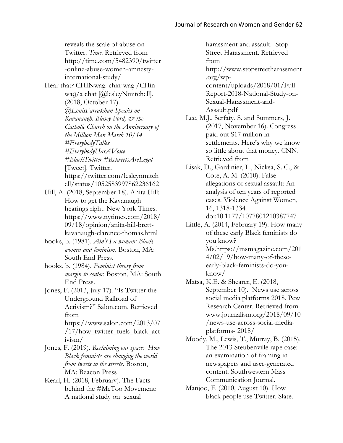reveals the scale of abuse on Twitter. *Time.* Retrieved from [http://time.com/5482390/twitter](http://time.com/5482390/twitter-online-abuse-women-amnesty-international-study/) [-online-abuse-women-amnesty](http://time.com/5482390/twitter-online-abuse-women-amnesty-international-study/)[international-study/](http://time.com/5482390/twitter-online-abuse-women-amnesty-international-study/)

- Hear that? CHINwag. chin·wag /CHin waq/a chat [@lesleyNmitchell]. (2018, October 17). *@LouisFarrakhan Speaks on Kavanaugh, Blasey Ford, & the Catholic Church on the Anniversary of the Million Man March 10/14 #EverybodyTalks #EverybodyHasAVoice #BlackTwitter #RetweetsAreLegal* [Tweet]. Twitter. https://twitter.com/lesleynmitch ell/status/1052583997862236162
- Hill, A. (2018, September 18). Anita Hill: How to get the Kavanaugh hearings right. New York Times. [https://www.nytimes.com/2018/](https://www.nytimes.com/2018/09/18/opinion/anita-hill-brett-kavanaugh-clarence-thomas.html) [09/18/opinion/anita-hill-brett](https://www.nytimes.com/2018/09/18/opinion/anita-hill-brett-kavanaugh-clarence-thomas.html)[kavanaugh-clarence-thomas.html](https://www.nytimes.com/2018/09/18/opinion/anita-hill-brett-kavanaugh-clarence-thomas.html)
- hooks, b. (1981). *Ain't I a woman: Black women and feminism*. Boston, MA: South End Press.
- hooks, b. (1984). *Feminist theory from margin to center*. Boston, MA: South End Press.

Jones, F. (2013, July 17). "Is Twitter the Underground Railroad of Activism?" Salon.com. Retrieved from [https://www.salon.com/2013/07](https://www.salon.com/2013/07/17/how_twitter_fuels_black_activism/) [/17/how\\_twitter\\_fuels\\_black\\_act](https://www.salon.com/2013/07/17/how_twitter_fuels_black_activism/) [ivism/](https://www.salon.com/2013/07/17/how_twitter_fuels_black_activism/)

- Jones, F. (2019). *Reclaiming our space: How Black feminists are changing the world from tweets to the streets*. Boston, MA: Beacon Press
- Kearl, H. (2018, February). The Facts behind the #MeToo Movement: A national study on sexual

harassment and assault. Stop Street Harassment. Retrieved from [http://www.stopstreetharassment](http://www.stopstreetharassment.org/wp-content/uploads/2018/01/Full-Report-2018-National-Study-on-Sexual-Harassment-and-Assault.pdf) [.org/wp](http://www.stopstreetharassment.org/wp-content/uploads/2018/01/Full-Report-2018-National-Study-on-Sexual-Harassment-and-Assault.pdf)[content/uploads/2018/01/Full-](http://www.stopstreetharassment.org/wp-content/uploads/2018/01/Full-Report-2018-National-Study-on-Sexual-Harassment-and-Assault.pdf)[Report-2018-National-Study-on-](http://www.stopstreetharassment.org/wp-content/uploads/2018/01/Full-Report-2018-National-Study-on-Sexual-Harassment-and-Assault.pdf)[Sexual-Harassment-and-](http://www.stopstreetharassment.org/wp-content/uploads/2018/01/Full-Report-2018-National-Study-on-Sexual-Harassment-and-Assault.pdf)[Assault.pdf](http://www.stopstreetharassment.org/wp-content/uploads/2018/01/Full-Report-2018-National-Study-on-Sexual-Harassment-and-Assault.pdf) 

- Lee, M.J., Serfaty, S. and Summers, J. (2017, November 16). Congress paid out \$17 million in settlements. Here's why we know so little about that money. CNN. Retrieved from
- Lisak, D., Gardinier, L., Nicksa, S. C., & Cote, A. M. (2010). False allegations of sexual assault: An analysis of ten years of reported cases. Violence Against Women, 16, 1318-1334. doi:10.1177/1077801210387747
- Little, A. (2014, February 19). How many of these early Black feminists do you know? Ms[.https://msmagazine.com/201](https://msmagazine.com/2014/02/19/how-many-of-these-early-black-feminists-do-you-know/)  $4/02/19/how$ -many-of-these[early-black-feminists-do-you](https://msmagazine.com/2014/02/19/how-many-of-these-early-black-feminists-do-you-know/)[know/](https://msmagazine.com/2014/02/19/how-many-of-these-early-black-feminists-do-you-know/)
- Matsa, K.E. & Shearer, E. (2018, September 10). News use across social media platforms 2018. Pew Research Center. Retrieved from [www.journalism.org/2018/09/10](http://www.journalism.org/2018/09/10/news-use-across-social-media-platforms-%202018/) [/news-use-across-social-media](http://www.journalism.org/2018/09/10/news-use-across-social-media-platforms-%202018/)[platforms-](http://www.journalism.org/2018/09/10/news-use-across-social-media-platforms-%202018/) 2018/
- Moody, M., Lewis, T., Murray, B. (2015). The 2013 Steubenville rape case: an examination of framing in newspapers and user-generated content. Southwestern Mass Communication Journal.
- Manjoo, F. (2010, August 10). How black people use Twitter. Slate.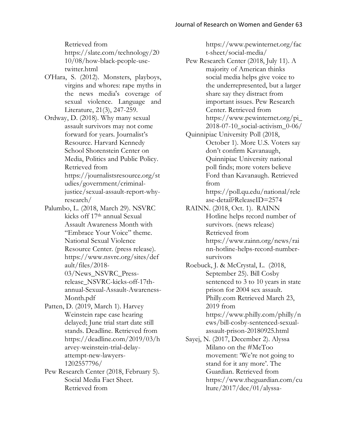Retrieved from [https://slate.com/technology/20](https://slate.com/technology/2010/08/how-black-people-use-twitter.html) [10/08/how-black-people-use](https://slate.com/technology/2010/08/how-black-people-use-twitter.html)[twitter.html](https://slate.com/technology/2010/08/how-black-people-use-twitter.html)

O'Hara, S. (2012). Monsters, playboys, virgins and whores: rape myths in the news media's coverage of sexual violence. Language and Literature, 21(3), 247-259.

Ordway, D. (2018). Why many sexual assault survivors may not come forward for years. Journalist's Resource. Harvard Kennedy School Shorenstein Center on Media, Politics and Public Policy. Retrieved from [https://journalistsresource.org/st](https://journalistsresource.org/studies/government/criminal-justice/sexual-assault-report-why-research/) [udies/government/criminal](https://journalistsresource.org/studies/government/criminal-justice/sexual-assault-report-why-research/)[justice/sexual-assault-report-why](https://journalistsresource.org/studies/government/criminal-justice/sexual-assault-report-why-research/)[research/](https://journalistsresource.org/studies/government/criminal-justice/sexual-assault-report-why-research/)

- Palumbo, L. (2018, March 29). NSVRC kicks off 17th annual Sexual Assault Awareness Month with "Embrace Your Voice" theme. National Sexual Violence Resource Center. (press release)[.](https://www.nsvrc.org/sites/default/files/2018-03/News_NSVRC_Press-release_NSVRC-kicks-off-17th-annual-Sexual-Assault-Awareness-Month.pdf) [https://www.nsvrc.org/sites/def](https://www.nsvrc.org/sites/default/files/2018-03/News_NSVRC_Press-release_NSVRC-kicks-off-17th-annual-Sexual-Assault-Awareness-Month.pdf) [ault/files/2018-](https://www.nsvrc.org/sites/default/files/2018-03/News_NSVRC_Press-release_NSVRC-kicks-off-17th-annual-Sexual-Assault-Awareness-Month.pdf) [03/News\\_NSVRC\\_Press](https://www.nsvrc.org/sites/default/files/2018-03/News_NSVRC_Press-release_NSVRC-kicks-off-17th-annual-Sexual-Assault-Awareness-Month.pdf)[release\\_NSVRC-kicks-off-17th](https://www.nsvrc.org/sites/default/files/2018-03/News_NSVRC_Press-release_NSVRC-kicks-off-17th-annual-Sexual-Assault-Awareness-Month.pdf)[annual-Sexual-Assault-Awareness-](https://www.nsvrc.org/sites/default/files/2018-03/News_NSVRC_Press-release_NSVRC-kicks-off-17th-annual-Sexual-Assault-Awareness-Month.pdf)[Month.pdf](https://www.nsvrc.org/sites/default/files/2018-03/News_NSVRC_Press-release_NSVRC-kicks-off-17th-annual-Sexual-Assault-Awareness-Month.pdf)
- Patten, D. (2019, March 1). Harvey Weinstein rape case hearing delayed; June trial start date still stands. Deadline. Retrieved fro[m](https://deadline.com/2019/03/harvey-weinstein-trial-delay-attempt-new-lawyers-1202557796/) https://deadline.com/2019/03/h arvey-weinstein-trial-delayattempt-new-lawyers-1202557796/
- Pew Research Center (2018, February 5). Social Media Fact Sheet. Retrieved from

[https://www.pewinternet.org/fac](https://www.pewinternet.org/fact-sheet/social-media/) [t-sheet/social-media/](https://www.pewinternet.org/fact-sheet/social-media/)

- Pew Research Center (2018, July 11). A majority of American thinks social media helps give voice to the underrepresented, but a larger share say they distract from important issues. Pew Research Center. Retrieved from [https://www.pewinternet.org/pi\\_](https://www.pewinternet.org/pi_2018-07-10_social-activism_0-06/) [2018-07-10\\_social-activism\\_0-06/](https://www.pewinternet.org/pi_2018-07-10_social-activism_0-06/)
- Quinnipiac University Poll (2018, October 1). More U.S. Voters say don't confirm Kavanaugh, Quinnipiac University national poll finds; more voters believe Ford than Kavanaugh. Retrieved from

[https://poll.qu.edu/national/rele](https://poll.qu.edu/national/release-detail?ReleaseID=2574) [ase-detail?ReleaseID=2574](https://poll.qu.edu/national/release-detail?ReleaseID=2574)

RAINN. (2018, Oct. 1). RAINN Hotline helps record number of survivors. (news release) Retrieved fro[m](https://www.rainn.org/news/rainn-hotline-helps-record-number-survivors) [https://www.rainn.org/news/rai](https://www.rainn.org/news/rainn-hotline-helps-record-number-survivors) [nn-hotline-helps-record-number](https://www.rainn.org/news/rainn-hotline-helps-record-number-survivors)[survivors](https://www.rainn.org/news/rainn-hotline-helps-record-number-survivors)

Roebuck, J. & McCrystal, L. (2018, September 25). Bill Cosby sentenced to 3 to 10 years in state prison for 2004 sex assault. Philly.com Retrieved March 23, 2019 from [https://www.philly.com/philly/n](https://www.philly.com/philly/news/bill-cosby-sentenced-sexual-assault-prison-20180925.html)

[ews/bill-cosby-sentenced-sexual](https://www.philly.com/philly/news/bill-cosby-sentenced-sexual-assault-prison-20180925.html)[assault-prison-20180925.html](https://www.philly.com/philly/news/bill-cosby-sentenced-sexual-assault-prison-20180925.html)

Sayej, N. (2017, December 2). Alyssa Milano on the #MeToo movement: 'We're not going to stand for it any more'. The Guardian. Retrieved from [https://www.theguardian.com/cu](https://www.theguardian.com/culture/2017/dec/01/alyssa-milano-mee-too-sexual-harassment-abuse) [lture/2017/dec/01/alyssa-](https://www.theguardian.com/culture/2017/dec/01/alyssa-milano-mee-too-sexual-harassment-abuse)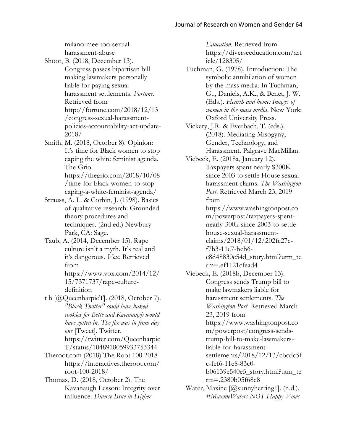[milano-mee-too-sexual](https://www.theguardian.com/culture/2017/dec/01/alyssa-milano-mee-too-sexual-harassment-abuse)[harassment-abuse](https://www.theguardian.com/culture/2017/dec/01/alyssa-milano-mee-too-sexual-harassment-abuse)

Shoot, B. (2018, December 13). Congress passes bipartisan bill making lawmakers personally liable for paying sexual harassment settlements. *Fortune.* Retrieved fro[m](http://fortune.com/2018/12/13/congress-sexual-harassment-policies-accountability-act-update-2018/) http://fortune.com/2018/12/13 /congress-sexual-harassmentpolicies-accountability-act-update-2018/

Smith, M. (2018, October 8). Opinion: It's time for Black women to stop caping the white feminist agenda. The Grio. [https://thegrio.com/2018/10/08](https://thegrio.com/2018/10/08/time-for-black-women-to-stop-caping-a-white-feminist-agenda/)

[/time-for-black-women-to-stop](https://thegrio.com/2018/10/08/time-for-black-women-to-stop-caping-a-white-feminist-agenda/)[caping-a-white-feminist-agenda/](https://thegrio.com/2018/10/08/time-for-black-women-to-stop-caping-a-white-feminist-agenda/)

Strauss, A. L. & Corbin, J. (1998). Basics of qualitative research: Grounded theory procedures and techniques. (2nd ed.) Newbury Park, CA: Sage.

Taub, A. (2014, December 15). Rape culture isn't a myth. It's real and it's dangerous. *Vox*. Retrieved from

[https://www.vox.com/2014/12/](https://www.vox.com/2014/12/15/7371737/rape-culture-definition) [15/7371737/rape-culture](https://www.vox.com/2014/12/15/7371737/rape-culture-definition)[definition](https://www.vox.com/2014/12/15/7371737/rape-culture-definition)

t b [@QueenharpieT]. (2018, October 7). *"Black Twitter" could have baked cookies for Bette and Kavanaugh would have gotten in. The fix was in from day one* [Tweet]. Twitter. https://twitter.com/Queenharpie T/status/1048918059933753344

Theroot.com (2018) The Root 100 2018 [https://interactives.theroot.com/](https://interactives.theroot.com/root-100-2018/) [root-100-2018/](https://interactives.theroot.com/root-100-2018/)

Thomas, D. (2018, October 2). The Kavanaugh Lesson: Integrity over influence. *Diverse Issue in Higher* 

*Education*. Retrieved from [https://diverseeducation.com/art](https://diverseeducation.com/article/128305/) [icle/128305/](https://diverseeducation.com/article/128305/)

Tuchman, G. (1978). Introduction: The symbolic annihilation of women by the mass media. In Tuchman, G.., Daniels, A.K., & Benet, J. W. (Eds.). *Hearth and home: Images of women in the mass media*. New York: Oxford University Press.

Vickery, J.R. & Everbach, T. (eds.). (2018). Mediating Misogyny, Gender, Technology, and Harassment. Palgrave MacMillan.

Viebeck, E. (2018a, January 12). Taxpayers spent nearly \$300K since 2003 to settle House sexual harassment claims. *The Washington Post*. Retrieved March 23, 2019 from

https://www.washingtonpost.co m/powerpost/taxpayers-spentnearly-300k-since-2003-to-settlehouse-sexual-harassmentclaims/2018/01/12/202fc27cf7b3-11e7-beb6 c8d48830c54d\_story.html?utm\_te rm=.ef1121cfead4

Viebeck, E. (2018b, December 13). Congress sends Trump bill to make lawmakers liable for harassment settlements. *The Washington Post.* Retrieved March 23, 2019 fro[m](https://www.washingtonpost.com/powerpost/congress-sends-trump-bill-to-make-lawmakers-liable-for-harassment-settlements/2018/12/13/cbcdc5fc-fef6-11e8-83c0-b06139e540e5_story.html?utm_term=.2380b05f68c8) [https://www.washingtonpost.co](https://www.washingtonpost.com/powerpost/congress-sends-trump-bill-to-make-lawmakers-liable-for-harassment-settlements/2018/12/13/cbcdc5fc-fef6-11e8-83c0-b06139e540e5_story.html?utm_term=.2380b05f68c8) [m/powerpost/congress-sends](https://www.washingtonpost.com/powerpost/congress-sends-trump-bill-to-make-lawmakers-liable-for-harassment-settlements/2018/12/13/cbcdc5fc-fef6-11e8-83c0-b06139e540e5_story.html?utm_term=.2380b05f68c8)[trump-bill-to-make-lawmakers](https://www.washingtonpost.com/powerpost/congress-sends-trump-bill-to-make-lawmakers-liable-for-harassment-settlements/2018/12/13/cbcdc5fc-fef6-11e8-83c0-b06139e540e5_story.html?utm_term=.2380b05f68c8)[liable-for-harassment](https://www.washingtonpost.com/powerpost/congress-sends-trump-bill-to-make-lawmakers-liable-for-harassment-settlements/2018/12/13/cbcdc5fc-fef6-11e8-83c0-b06139e540e5_story.html?utm_term=.2380b05f68c8)[settlements/2018/12/13/cbcdc5f](https://www.washingtonpost.com/powerpost/congress-sends-trump-bill-to-make-lawmakers-liable-for-harassment-settlements/2018/12/13/cbcdc5fc-fef6-11e8-83c0-b06139e540e5_story.html?utm_term=.2380b05f68c8) [c-fef6-11e8-83c0-](https://www.washingtonpost.com/powerpost/congress-sends-trump-bill-to-make-lawmakers-liable-for-harassment-settlements/2018/12/13/cbcdc5fc-fef6-11e8-83c0-b06139e540e5_story.html?utm_term=.2380b05f68c8)

[b06139e540e5\\_story.html?utm\\_te](https://www.washingtonpost.com/powerpost/congress-sends-trump-bill-to-make-lawmakers-liable-for-harassment-settlements/2018/12/13/cbcdc5fc-fef6-11e8-83c0-b06139e540e5_story.html?utm_term=.2380b05f68c8) [rm=.2380b05f68c8](https://www.washingtonpost.com/powerpost/congress-sends-trump-bill-to-make-lawmakers-liable-for-harassment-settlements/2018/12/13/cbcdc5fc-fef6-11e8-83c0-b06139e540e5_story.html?utm_term=.2380b05f68c8)

Water, Maxine [@sunnyherring1]. (n.d.). *#MaxineWaters NOT Happy-Vows*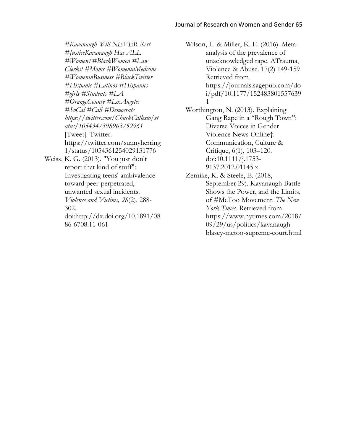*#Kavanaugh Will NEVER Rest #JusticeKavanaugh Has ALL #Women/#BlackWomen #Law Clerks! #Moms #WomeninMedicine #WomeninBusiness #BlackTwitter #Hispanic #Latinos #Hispanics #girls #Students #LA #OrangeCounty #LosAngeles #SoCal #Cali #Democrats https://twitter.com/ChuckCallesto/st atus/1054347398963752961* [Tweet]. Twitter. https://twitter.com/sunnyherring 1/status/1054361254029131776 Weiss, K. G. (2013). "You just don't report that kind of stuff": Investigating teens' ambivalence toward peer-perpetrated, unwanted sexual incidents. *Violence and Victims, 28*(2), 288- 302. doi[:http://dx.doi.org/10.1891/08](http://dx.doi.org/10.1891/0886-6708.11-061) [86-6708.11-061](http://dx.doi.org/10.1891/0886-6708.11-061)

Wilson, L. & Miller, K. E. (2016). Metaanalysis of the prevalence of unacknowledged rape. ATrauma, Violence & Abuse. 17(2) 149-159 Retrieved from [https://journals.sagepub.com/do](https://journals.sagepub.com/doi/pdf/10.1177/1524838015576391) [i/pdf/10.1177/152483801557639](https://journals.sagepub.com/doi/pdf/10.1177/1524838015576391) [1](https://journals.sagepub.com/doi/pdf/10.1177/1524838015576391)

- Worthington, N. (2013). Explaining Gang Rape in a "Rough Town": Diverse Voices in Gender Violence News Online†. Communication, Culture & Critique, 6(1), 103–120. doi:10.1111/j.1753- 9137.2012.01145.x
- Zernike, K. & Steele, E. (2018, September 29). Kavanaugh Battle Shows the Power, and the Limits, of #MeToo Movement. *The New York Times.* Retrieved from [https://www.nytimes.com/2018/](https://www.nytimes.com/2018/09/29/us/politics/kavanaugh-blasey-metoo-supreme-court.html) [09/29/us/politics/kavanaugh](https://www.nytimes.com/2018/09/29/us/politics/kavanaugh-blasey-metoo-supreme-court.html)[blasey-metoo-supreme-court.html](https://www.nytimes.com/2018/09/29/us/politics/kavanaugh-blasey-metoo-supreme-court.html)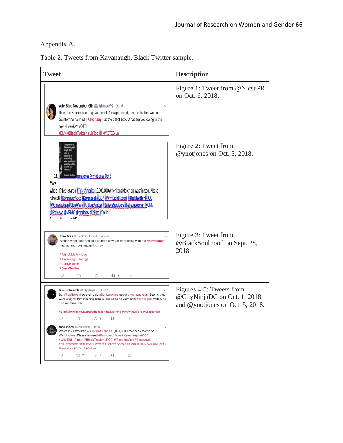Appendix A.

|  |  |  | Table 2. Tweets from Kavanaugh, Black Twitter sample. |  |  |  |
|--|--|--|-------------------------------------------------------|--|--|--|
|--|--|--|-------------------------------------------------------|--|--|--|

| <b>Tweet</b>                                                                                                                                                                                                                                                                                                                                                                                                                                                                                                                                                                                                                                                                                      | <b>Description</b>                                                                          |  |
|---------------------------------------------------------------------------------------------------------------------------------------------------------------------------------------------------------------------------------------------------------------------------------------------------------------------------------------------------------------------------------------------------------------------------------------------------------------------------------------------------------------------------------------------------------------------------------------------------------------------------------------------------------------------------------------------------|---------------------------------------------------------------------------------------------|--|
| Vote Blue November 6th <b>F</b> @NicsuPR · Oct 6<br>There are 3 branches of government. 1 is appointed, 2 are voted in. We can<br>counter the harm of #Kavanaugh at the ballot box. What are you doing in the<br>next 4 weeks? VOTE!<br>#BLM #BlackTwitter #MeToo   #VOTEBlue                                                                                                                                                                                                                                                                                                                                                                                                                     | Figure 1: Tweet from @NicsuPR<br>on Oct. 6, 2018.                                           |  |
| <b>Allegate Convignes @vnotiones Oct 5</b><br>More<br>Who's in? Let's start a #ThislsAmerica 10,000,000 Americans March on Washington. Please<br>retweet! #KavanaughVote #Kavanaugh #GOP #WhylDidntReport #BlackTwitter #POC<br>#WomensWave #BlueWave #AllLivesMatter #BelieveSurvivors #BelieveWomen @CNN<br>@FoxNews @MSNBC @maddow #DrFord #Collins<br>وازا فمغمون بغمس فممثلة                                                                                                                                                                                                                                                                                                                 | Figure 2: Tweet from<br>@ynotiones on Oct. 5, 2018.                                         |  |
| Free Man @BlackSoulFood · Sep 28<br>African Americans should take note of whats happening with the #Kavanaugh<br>hearing and vote happening now.<br>#WhiteMalePrivilege<br>#KavanaughHearings<br>#CoreyBooker<br>#BlackTwitter<br>$\circ$ 1<br>$\circlearrowright$ 1<br>t<br>$\binom{5}{2}$ 1<br>⊠                                                                                                                                                                                                                                                                                                                                                                                                | Figure 3: Tweet from<br>@BlackSoulFood on Sept. 28,<br>2018.                                |  |
| <b>Issa Schuerch @CityNinjaDC</b> · Oct 1<br>So, #FoxNews fired their paid #Sunkenplace negro #KevinJackson. Seems they<br>were okay w/ him insulting blacks, but when he went after #privileged whites, he<br>crossed their line.<br>#BlackTwitter #Kavanaugh #MondayMorning #ImWithDrFord #Kaepernick<br>τı<br>tony jones @ynotjones · Oct 5<br>Who's in? Let's start a #ThislsAmerica 10,000,000 Americans March on<br>Washington. Please retweet! #KavanaughVote #Kavanaugh #GOP<br>#WhylDidntReport #BlackTwitter #POC #WomensWave #BlueWave<br>#AllLivesMatter #BelieveSurvivors #BelieveWomen @CNN @FoxNews @MSNBC<br>@maddow #DrFord #Collins<br>Q<br>t] 2<br>$\circ$ 2<br>$\bullet$<br>⊠ | Figures 4-5: Tweets from<br>@CityNinjaDC on Oct. 1, 2018<br>and @ynotjones on Oct. 5, 2018. |  |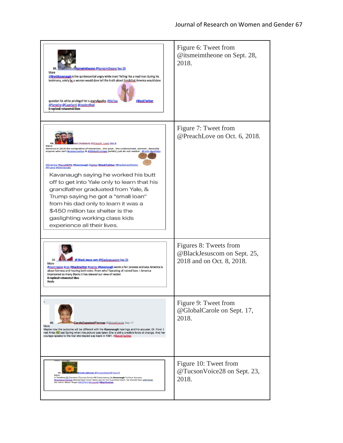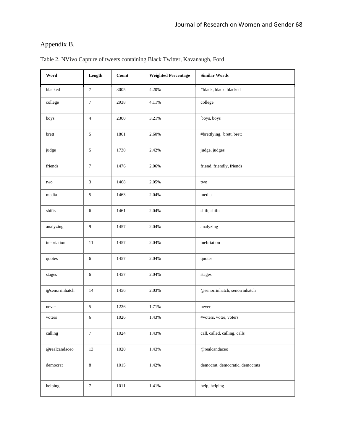### Appendix B.

| Word              | Length           | <b>Count</b> | <b>Weighted Percentage</b> | <b>Similar Words</b>            |  |
|-------------------|------------------|--------------|----------------------------|---------------------------------|--|
| blacked           | $\tau$           | 3005         | 4.20%                      | #black, black, blacked          |  |
| college           | $\boldsymbol{7}$ | 2938         | 4.11%                      | college                         |  |
| boys              | $\overline{4}$   | 2300         | 3.21%                      | 'boys, boys                     |  |
| brett             | $\sqrt{5}$       | 1861         | 2.60%                      | #brettlying, 'brett, brett      |  |
| judge             | 5                | 1730         | 2.42%                      | judge, judges                   |  |
| friends           | $\boldsymbol{7}$ | 1476         | 2.06%                      | friend, friendly, friends       |  |
| two               | $\sqrt{3}$       | 1468         | 2.05%                      | two                             |  |
| media             | 5                | 1463         | 2.04%                      | media                           |  |
| shifts            | 6                | 1461         | 2.04%                      | shift, shifts                   |  |
| analyzing         | $\overline{9}$   | 1457         | 2.04%                      | analyzing                       |  |
| inebriation       | $11\,$           | 1457         | 2.04%                      | inebriation                     |  |
| quotes            | 6                | 1457         | 2.04%                      | quotes                          |  |
| stages            | 6                | 1457         | 2.04%                      | stages                          |  |
| $@$ senorrinhatch | 14               | 1456         | 2.03%                      | @senorrinhatch, senorrinhatch   |  |
| never             | $\sqrt{5}$       | 1226         | 1.71%                      | never                           |  |
| voters            | 6                | 1026         | 1.43%                      | #voters, voter, voters          |  |
| calling           | $\boldsymbol{7}$ | 1024         | 1.43%                      | call, called, calling, calls    |  |
| @realcandaceo     | 13               | 1020         | 1.43%                      | @realcandaceo                   |  |
| democrat          | $\,8\,$          | 1015         | 1.42%                      | democrat, democratic, democrats |  |
| helping           | $\boldsymbol{7}$ | 1011         | 1.41%                      | help, helping                   |  |

Table 2. NVivo Capture of tweets containing Black Twitter, Kavanaugh, Ford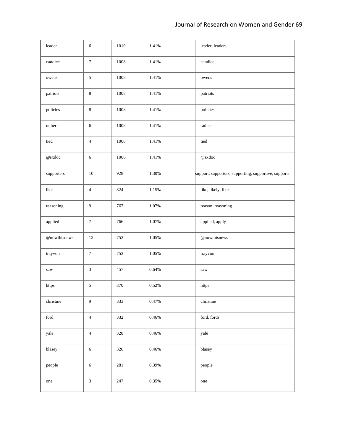| leader                | 6                | 1010 | 1.41%    | leader, leaders                                       |
|-----------------------|------------------|------|----------|-------------------------------------------------------|
| candice               | $\boldsymbol{7}$ | 1008 | 1.41%    | candice                                               |
| owens                 | $\sqrt{5}$       | 1008 | 1.41%    | owens                                                 |
| patriots              | $\,8\,$          | 1008 | 1.41%    | patriots                                              |
| policies              | $\,8\,$          | 1008 | 1.41%    | policies                                              |
| $\!$ rather           | 6                | 1008 | 1.41%    | $\!$ rather                                           |
| tied                  | $\overline{4}$   | 1008 | 1.41%    | tied                                                  |
| @sxdoc                | $\sqrt{6}$       | 1006 | 1.41%    | @sxdoc                                                |
| supporters            | $10\,$           | 928  | 1.30%    | support, supporters, supporting, supportive, supports |
| like                  | $\overline{4}$   | 824  | 1.15%    | like, likely, likes                                   |
| reasoning             | $\overline{9}$   | 767  | 1.07%    | reason, reasoning                                     |
| applied               | $\boldsymbol{7}$ | 766  | 1.07%    | applied, apply                                        |
| @nowthisnews          | $12\,$           | 753  | 1.05%    | @nowthisnews                                          |
| trayvon               | $\boldsymbol{7}$ | 753  | 1.05%    | trayvon                                               |
| saw                   | $\mathfrak{Z}$   | 457  | 0.64%    | saw                                                   |
| https                 | 5                | 370  | 0.52%    | https                                                 |
| christine             | $\overline{9}$   | 333  | 0.47%    | christine                                             |
| $\operatorname{ford}$ | $\overline{4}$   | 332  | 0.46%    | ford, fords                                           |
| yale                  | $\overline{4}$   | 328  | $0.46\%$ | yale                                                  |
| blasey                | $\sqrt{6}$       | 326  | $0.46\%$ | blasey                                                |
| people                | $\sqrt{6}$       | 281  | 0.39%    | people                                                |
| one                   | $\sqrt{3}$       | 247  | $0.35\%$ | one                                                   |